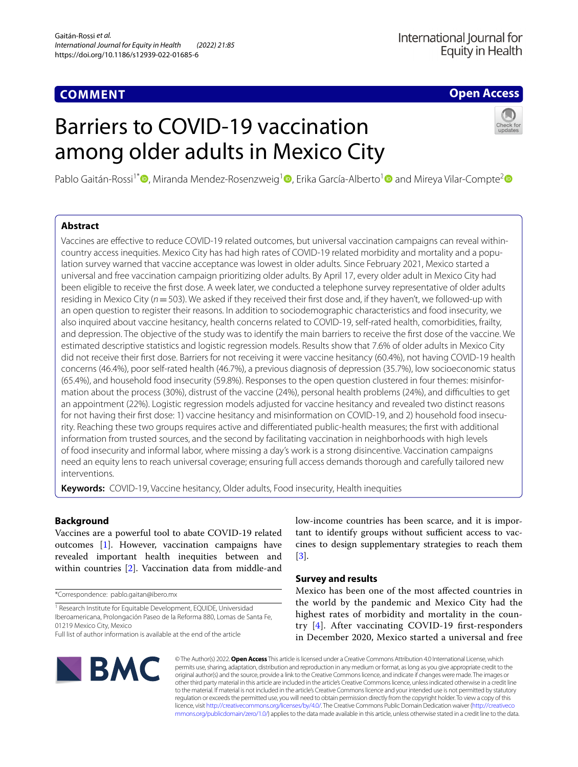# **COMMENT**

# **Open Access**

# Barriers to COVID‑19 vaccination among older adults in Mexico City



Pablo Gaitán-Rossi<sup>1[\\*](https://orcid.org/0000-0002-7617-6366)</sup><sup>®</sup>, Miranda Mendez-Rosenzweig<sup>[1](https://orcid.org/0000-0002-0967-7857)</sup> , Erika García-Alberto<sup>1</sup> and Mireya Vilar-Compte<sup>2</sup>

# **Abstract**

Vaccines are efective to reduce COVID-19 related outcomes, but universal vaccination campaigns can reveal withincountry access inequities. Mexico City has had high rates of COVID-19 related morbidity and mortality and a population survey warned that vaccine acceptance was lowest in older adults. Since February 2021, Mexico started a universal and free vaccination campaign prioritizing older adults. By April 17, every older adult in Mexico City had been eligible to receive the frst dose. A week later, we conducted a telephone survey representative of older adults residing in Mexico City (*n*=503). We asked if they received their frst dose and, if they haven't, we followed-up with an open question to register their reasons. In addition to sociodemographic characteristics and food insecurity, we also inquired about vaccine hesitancy, health concerns related to COVID-19, self-rated health, comorbidities, frailty, and depression. The objective of the study was to identify the main barriers to receive the frst dose of the vaccine. We estimated descriptive statistics and logistic regression models. Results show that 7.6% of older adults in Mexico City did not receive their frst dose. Barriers for not receiving it were vaccine hesitancy (60.4%), not having COVID-19 health concerns (46.4%), poor self-rated health (46.7%), a previous diagnosis of depression (35.7%), low socioeconomic status (65.4%), and household food insecurity (59.8%). Responses to the open question clustered in four themes: misinfor‑ mation about the process (30%), distrust of the vaccine (24%), personal health problems (24%), and difficulties to get an appointment (22%). Logistic regression models adjusted for vaccine hesitancy and revealed two distinct reasons for not having their first dose: 1) vaccine hesitancy and misinformation on COVID-19, and 2) household food insecurity. Reaching these two groups requires active and diferentiated public-health measures; the frst with additional information from trusted sources, and the second by facilitating vaccination in neighborhoods with high levels of food insecurity and informal labor, where missing a day's work is a strong disincentive. Vaccination campaigns need an equity lens to reach universal coverage; ensuring full access demands thorough and carefully tailored new interventions.

**Keywords:** COVID-19, Vaccine hesitancy, Older adults, Food insecurity, Health inequities

# **Background**

Vaccines are a powerful tool to abate COVID-19 related outcomes [\[1](#page-2-0)]. However, vaccination campaigns have revealed important health inequities between and within countries [[2\]](#page-2-1). Vaccination data from middle-and

\*Correspondence: pablo.gaitan@ibero.mx

<sup>1</sup> Research Institute for Equitable Development, EQUIDE, Universidad Iberoamericana, Prolongación Paseo de la Reforma 880, Lomas de Santa Fe, 01219 Mexico City, Mexico

low-income countries has been scarce, and it is important to identify groups without sufficient access to vaccines to design supplementary strategies to reach them [[3\]](#page-2-2).

# **Survey and results**

Mexico has been one of the most afected countries in the world by the pandemic and Mexico City had the highest rates of morbidity and mortality in the country  $[4]$  $[4]$ . After vaccinating COVID-19 first-responders in December 2020, Mexico started a universal and free



© The Author(s) 2022. **Open Access** This article is licensed under a Creative Commons Attribution 4.0 International License, which permits use, sharing, adaptation, distribution and reproduction in any medium or format, as long as you give appropriate credit to the original author(s) and the source, provide a link to the Creative Commons licence, and indicate if changes were made. The images or other third party material in this article are included in the article's Creative Commons licence, unless indicated otherwise in a credit line to the material. If material is not included in the article's Creative Commons licence and your intended use is not permitted by statutory regulation or exceeds the permitted use, you will need to obtain permission directly from the copyright holder. To view a copy of this licence, visit [http://creativecommons.org/licenses/by/4.0/.](http://creativecommons.org/licenses/by/4.0/) The Creative Commons Public Domain Dedication waiver ([http://creativeco](http://creativecommons.org/publicdomain/zero/1.0/) [mmons.org/publicdomain/zero/1.0/](http://creativecommons.org/publicdomain/zero/1.0/)) applies to the data made available in this article, unless otherwise stated in a credit line to the data.

Full list of author information is available at the end of the article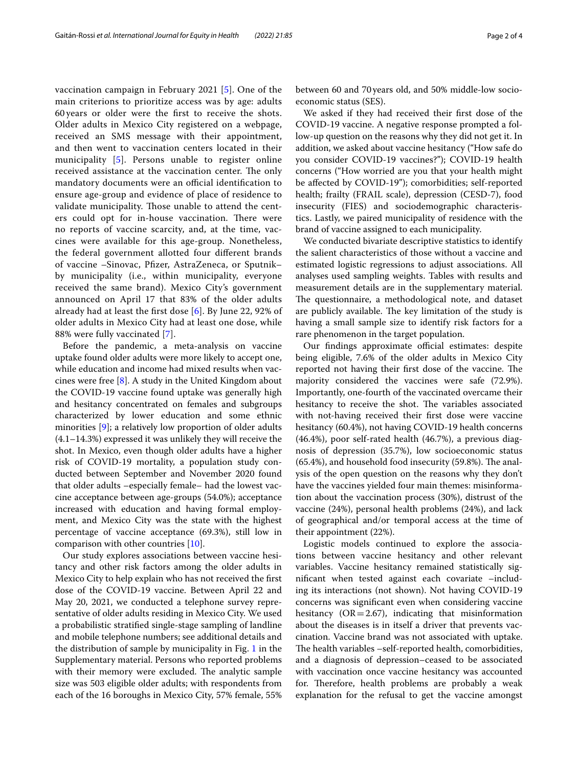vaccination campaign in February 2021 [[5\]](#page-2-4). One of the main criterions to prioritize access was by age: adults 60 years or older were the frst to receive the shots. Older adults in Mexico City registered on a webpage, received an SMS message with their appointment, and then went to vaccination centers located in their municipality [[5\]](#page-2-4). Persons unable to register online received assistance at the vaccination center. The only mandatory documents were an official identification to ensure age-group and evidence of place of residence to validate municipality. Those unable to attend the centers could opt for in-house vaccination. There were no reports of vaccine scarcity, and, at the time, vaccines were available for this age-group. Nonetheless, the federal government allotted four diferent brands of vaccine –Sinovac, Pfzer, AstraZeneca, or Sputnik– by municipality (i.e., within municipality, everyone received the same brand). Mexico City's government announced on April 17 that 83% of the older adults already had at least the frst dose [\[6](#page-2-5)]. By June 22, 92% of older adults in Mexico City had at least one dose, while 88% were fully vaccinated [\[7\]](#page-2-6).

Before the pandemic, a meta-analysis on vaccine uptake found older adults were more likely to accept one, while education and income had mixed results when vaccines were free [\[8](#page-3-0)]. A study in the United Kingdom about the COVID-19 vaccine found uptake was generally high and hesitancy concentrated on females and subgroups characterized by lower education and some ethnic minorities [[9\]](#page-3-1); a relatively low proportion of older adults (4.1–14.3%) expressed it was unlikely they will receive the shot. In Mexico, even though older adults have a higher risk of COVID-19 mortality, a population study conducted between September and November 2020 found that older adults –especially female– had the lowest vaccine acceptance between age-groups (54.0%); acceptance increased with education and having formal employment, and Mexico City was the state with the highest percentage of vaccine acceptance (69.3%), still low in comparison with other countries [[10\]](#page-3-2).

Our study explores associations between vaccine hesitancy and other risk factors among the older adults in Mexico City to help explain who has not received the frst dose of the COVID-19 vaccine. Between April 22 and May 20, 2021, we conducted a telephone survey representative of older adults residing in Mexico City. We used a probabilistic stratifed single-stage sampling of landline and mobile telephone numbers; see additional details and the distribution of sample by municipality in Fig. [1](#page-2-7) in the Supplementary material. Persons who reported problems with their memory were excluded. The analytic sample size was 503 eligible older adults; with respondents from each of the 16 boroughs in Mexico City, 57% female, 55% between 60 and 70years old, and 50% middle-low socioeconomic status (SES).

We asked if they had received their frst dose of the COVID-19 vaccine. A negative response prompted a follow-up question on the reasons why they did not get it. In addition, we asked about vaccine hesitancy ("How safe do you consider COVID-19 vaccines?"); COVID-19 health concerns ("How worried are you that your health might be afected by COVID-19"); comorbidities; self-reported health; frailty (FRAIL scale), depression (CESD-7), food insecurity (FIES) and sociodemographic characteristics. Lastly, we paired municipality of residence with the brand of vaccine assigned to each municipality.

We conducted bivariate descriptive statistics to identify the salient characteristics of those without a vaccine and estimated logistic regressions to adjust associations. All analyses used sampling weights. Tables with results and measurement details are in the supplementary material. The questionnaire, a methodological note, and dataset are publicly available. The key limitation of the study is having a small sample size to identify risk factors for a rare phenomenon in the target population.

Our findings approximate official estimates: despite being eligible, 7.6% of the older adults in Mexico City reported not having their first dose of the vaccine. The majority considered the vaccines were safe (72.9%). Importantly, one-fourth of the vaccinated overcame their hesitancy to receive the shot. The variables associated with not-having received their frst dose were vaccine hesitancy (60.4%), not having COVID-19 health concerns (46.4%), poor self-rated health (46.7%), a previous diagnosis of depression (35.7%), low socioeconomic status  $(65.4%)$ , and household food insecurity  $(59.8%)$ . The analysis of the open question on the reasons why they don't have the vaccines yielded four main themes: misinformation about the vaccination process (30%), distrust of the vaccine (24%), personal health problems (24%), and lack of geographical and/or temporal access at the time of their appointment (22%).

Logistic models continued to explore the associations between vaccine hesitancy and other relevant variables. Vaccine hesitancy remained statistically signifcant when tested against each covariate –including its interactions (not shown). Not having COVID-19 concerns was signifcant even when considering vaccine hesitancy ( $OR = 2.67$ ), indicating that misinformation about the diseases is in itself a driver that prevents vaccination. Vaccine brand was not associated with uptake. The health variables -self-reported health, comorbidities, and a diagnosis of depression–ceased to be associated with vaccination once vaccine hesitancy was accounted for. Therefore, health problems are probably a weak explanation for the refusal to get the vaccine amongst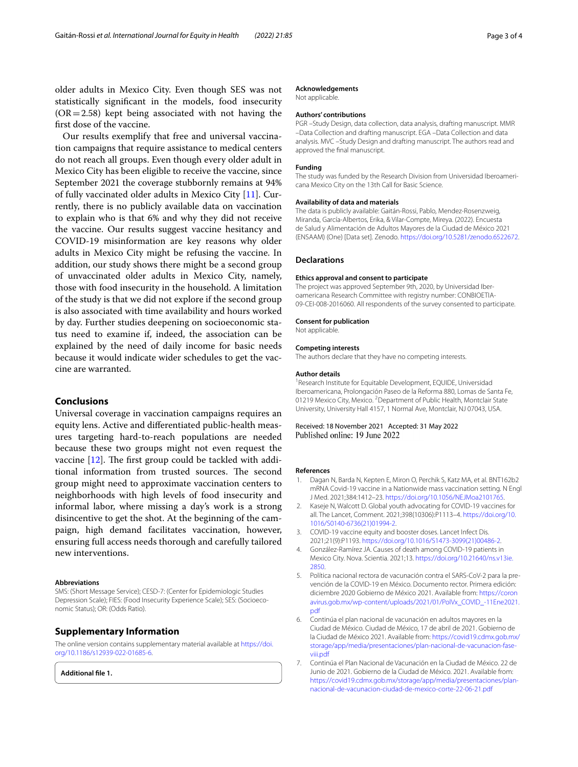older adults in Mexico City. Even though SES was not statistically signifcant in the models, food insecurity  $(OR = 2.58)$  kept being associated with not having the frst dose of the vaccine.

Our results exemplify that free and universal vaccination campaigns that require assistance to medical centers do not reach all groups. Even though every older adult in Mexico City has been eligible to receive the vaccine, since September 2021 the coverage stubbornly remains at 94% of fully vaccinated older adults in Mexico City [\[11](#page-3-3)]. Currently, there is no publicly available data on vaccination to explain who is that 6% and why they did not receive the vaccine. Our results suggest vaccine hesitancy and COVID-19 misinformation are key reasons why older adults in Mexico City might be refusing the vaccine. In addition, our study shows there might be a second group of unvaccinated older adults in Mexico City, namely, those with food insecurity in the household. A limitation of the study is that we did not explore if the second group is also associated with time availability and hours worked by day. Further studies deepening on socioeconomic status need to examine if, indeed, the association can be explained by the need of daily income for basic needs because it would indicate wider schedules to get the vaccine are warranted.

# **Conclusions**

Universal coverage in vaccination campaigns requires an equity lens. Active and diferentiated public-health measures targeting hard-to-reach populations are needed because these two groups might not even request the vaccine  $[12]$  $[12]$ . The first group could be tackled with additional information from trusted sources. The second group might need to approximate vaccination centers to neighborhoods with high levels of food insecurity and informal labor, where missing a day's work is a strong disincentive to get the shot. At the beginning of the campaign, high demand facilitates vaccination, however, ensuring full access needs thorough and carefully tailored new interventions.

## **Abbreviations**

SMS: (Short Message Service); CESD-7: (Center for Epidemiologic Studies Depression Scale); FIES: (Food Insecurity Experience Scale); SES: (Socioeconomic Status); OR: (Odds Ratio).

## **Supplementary Information**

The online version contains supplementary material available at [https://doi.](https://doi.org/10.1186/s12939-022-01685-6) [org/10.1186/s12939-022-01685-6](https://doi.org/10.1186/s12939-022-01685-6).

<span id="page-2-7"></span>**Additional fle 1.**

## **Acknowledgements**

Not applicable.

## **Authors' contributions**

PGR –Study Design, data collection, data analysis, drafting manuscript. MMR –Data Collection and drafting manuscript. EGA –Data Collection and data analysis. MVC –Study Design and drafting manuscript. The authors read and approved the fnal manuscript.

## **Funding**

The study was funded by the Research Division from Universidad Iberoamericana Mexico City on the 13th Call for Basic Science.

#### **Availability of data and materials**

The data is publicly available: Gaitán-Rossi, Pablo, Mendez-Rosenzweig, Miranda, García-Albertos, Erika, & Vilar-Compte, Mireya. (2022). Encuesta de Salud y Alimentación de Adultos Mayores de la Ciudad de México 2021 (ENSAAM) (One) [Data set]. Zenodo. <https://doi.org/10.5281/zenodo.6522672>.

## **Declarations**

#### **Ethics approval and consent to participate**

The project was approved September 9th, 2020, by Universidad Iberoamericana Research Committee with registry number: CONBIOETIA-09-CEI-008-2016060. All respondents of the survey consented to participate.

## **Consent for publication**

Not applicable.

#### **Competing interests**

The authors declare that they have no competing interests.

#### **Author details**

<sup>1</sup> Research Institute for Equitable Development, EQUIDE, Universidad Iberoamericana, Prolongación Paseo de la Reforma 880, Lomas de Santa Fe, 01219 Mexico City, Mexico. <sup>2</sup> Department of Public Health, Montclair State University, University Hall 4157, 1 Normal Ave, Montclair, NJ 07043, USA.

Received: 18 November 2021 Accepted: 31 May 2022

#### **References**

- <span id="page-2-0"></span>Dagan N, Barda N, Kepten E, Miron O, Perchik S, Katz MA, et al. BNT162b2 mRNA Covid-19 vaccine in a Nationwide mass vaccination setting. N Engl J Med. 2021;384:1412–23.<https://doi.org/10.1056/NEJMoa2101765>.
- <span id="page-2-1"></span>2. Kaseje N, Walcott D. Global youth advocating for COVID-19 vaccines for all. The Lancet, Comment. 2021;398(10306):P1113–4. [https://doi.org/10.](https://doi.org/10.1016/S0140-6736(21)01994-2) [1016/S0140-6736\(21\)01994-2](https://doi.org/10.1016/S0140-6736(21)01994-2).
- <span id="page-2-2"></span>3. COVID-19 vaccine equity and booster doses. Lancet Infect Dis. 2021;21(9):P1193. [https://doi.org/10.1016/S1473-3099\(21\)00486-2.](https://doi.org/10.1016/S1473-3099(21)00486-2)
- <span id="page-2-3"></span>4. González-Ramírez JA. Causes of death among COVID-19 patients in Mexico City. Nova. Scientia. 2021;13. [https://doi.org/10.21640/ns.v13ie.](https://doi.org/10.21640/ns.v13ie.2850) [2850](https://doi.org/10.21640/ns.v13ie.2850).
- <span id="page-2-4"></span>5. Política nacional rectora de vacunación contra el SARS-CoV-2 para la prevención de la COVID-19 en México. Documento rector. Primera edición: diciembre 2020 Gobierno de México 2021. Available from: [https://coron](https://coronavirus.gob.mx/wp-content/uploads/2021/01/PolVx_COVID_-11Ene2021.pdf) [avirus.gob.mx/wp-content/uploads/2021/01/PolVx\\_COVID\\_-11Ene2021.](https://coronavirus.gob.mx/wp-content/uploads/2021/01/PolVx_COVID_-11Ene2021.pdf) [pdf](https://coronavirus.gob.mx/wp-content/uploads/2021/01/PolVx_COVID_-11Ene2021.pdf)
- <span id="page-2-5"></span>6. Continúa el plan nacional de vacunación en adultos mayores en la Ciudad de México. Ciudad de México, 17 de abril de 2021. Gobierno de la Ciudad de México 2021. Available from: [https://covid19.cdmx.gob.mx/](https://covid19.cdmx.gob.mx/storage/app/media/presentaciones/plan-nacional-de-vacunacion-fase-viii.pdf) [storage/app/media/presentaciones/plan-nacional-de-vacunacion-fase](https://covid19.cdmx.gob.mx/storage/app/media/presentaciones/plan-nacional-de-vacunacion-fase-viii.pdf) [viii.pdf](https://covid19.cdmx.gob.mx/storage/app/media/presentaciones/plan-nacional-de-vacunacion-fase-viii.pdf)
- <span id="page-2-6"></span>7. Continúa el Plan Nacional de Vacunación en la Ciudad de México. 22 de Junio de 2021. Gobierno de la Ciudad de México. 2021. Available from: [https://covid19.cdmx.gob.mx/storage/app/media/presentaciones/plan](https://covid19.cdmx.gob.mx/storage/app/media/presentaciones/plan-nacional-de-vacunacion-fase-viii.pdf) [nacional-de-vacunacion-ciudad-de-mexico-corte-22-06-21.pdf](https://covid19.cdmx.gob.mx/storage/app/media/presentaciones/plan-nacional-de-vacunacion-fase-viii.pdf)